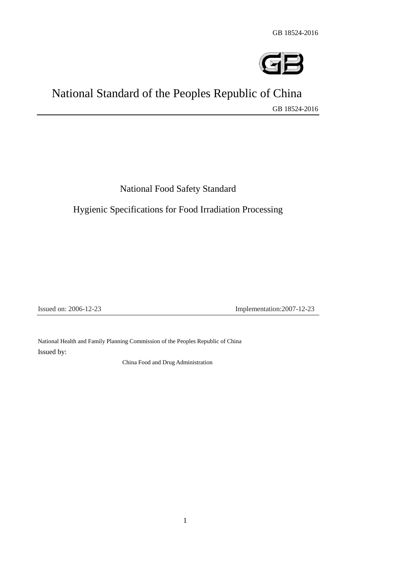

# National Standard of the Peoples Republic of China GB 18524-2016

National Food Safety Standard

Hygienic Specifications for Food Irradiation Processing

Issued on: 2006-12-23

Implementation: 2007-12-23

 National Health and Family Planning Commission of the Peoples Republic of China Issued by:

China Food and Drug Administration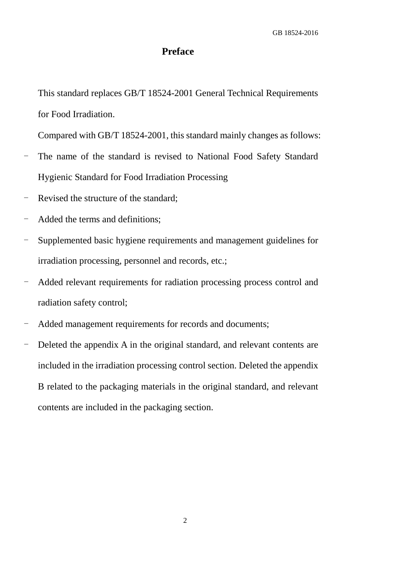## **Preface**

This standard replaces GB/T 18524-2001 General Technical Requirements for Food Irradiation.

Compared with GB/T 18524-2001, this standard mainly changes as follows:

- The name of the standard is revised to National Food Safety Standard Hygienic Standard for Food Irradiation Processing
- Revised the structure of the standard;
- Added the terms and definitions;
- Supplemented basic hygiene requirements and management guidelines for irradiation processing, personnel and records, etc.;
- Added relevant requirements for radiation processing process control and radiation safety control;
- Added management requirements for records and documents;
- - Deleted the appendix A in the original standard, and relevant contents are included in the irradiation processing control section. Deleted the appendix B related to the packaging materials in the original standard, and relevant contents are included in the packaging section.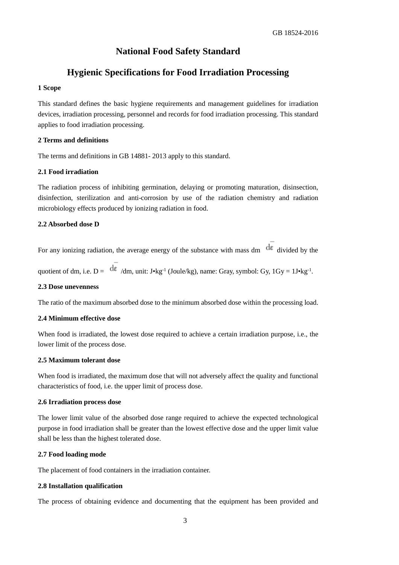## **National Food Safety Standard**

## **Hygienic Specifications for Food Irradiation Processing**

#### **1 Scope**

This standard defines the basic hygiene requirements and management guidelines for irradiation devices, irradiation processing, personnel and records for food irradiation processing. This standard applies to food irradiation processing.

#### **2 Terms and definitions**

The terms and definitions in GB 14881- 2013 apply to this standard.

## **2.1 Food irradiation**

The radiation process of inhibiting germination, delaying or promoting maturation, disinsection, disinfection, sterilization and anti-corrosion by use of the radiation chemistry and radiation microbiology effects produced by ionizing radiation in food.

#### **2.2 Absorbed dose D**

For any ionizing radiation, the average energy of the substance with mass dm  $\frac{d\varepsilon}{dt}$  divided by the

quotient of dm, i.e.  $D = \frac{dE}{d\mu}$  /dm, unit: J•kg<sup>-1</sup> (Joule/kg), name: Gray, symbol: Gy, 1Gy = 1J•kg<sup>-1</sup>.

#### **2.3 Dose unevenness**

The ratio of the maximum absorbed dose to the minimum absorbed dose within the processing load.

#### **2.4 Minimum effective dose**

When food is irradiated, the lowest dose required to achieve a certain irradiation purpose, i.e., the lower limit of the process dose.

## **2.5 Maximum tolerant dose**

When food is irradiated, the maximum dose that will not adversely affect the quality and functional characteristics of food, i.e. the upper limit of process dose.

#### **2.6 Irradiation process dose**

The lower limit value of the absorbed dose range required to achieve the expected technological purpose in food irradiation shall be greater than the lowest effective dose and the upper limit value shall be less than the highest tolerated dose.

## **2.7 Food loading mode**

The placement of food containers in the irradiation container.

#### **2.8 Installation qualification**

The process of obtaining evidence and documenting that the equipment has been provided and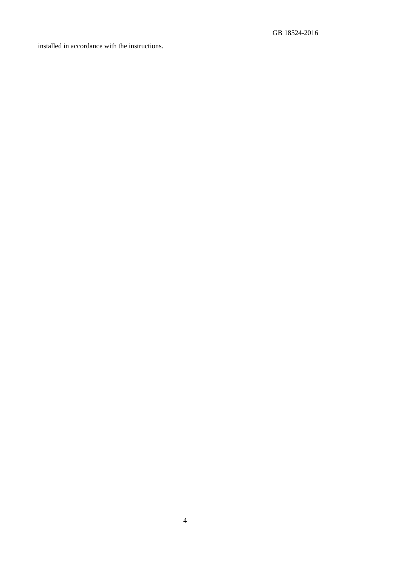installed in accordance with the instructions.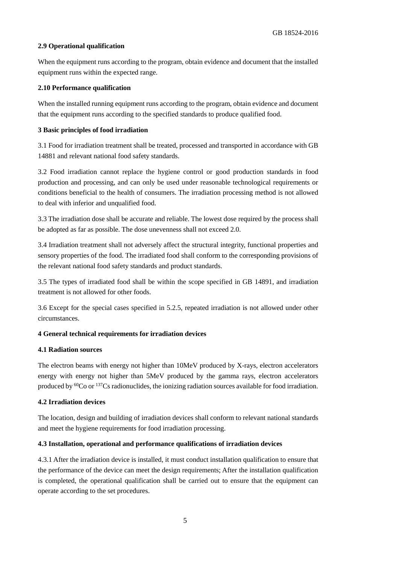## **2.9 Operational qualification**

When the equipment runs according to the program, obtain evidence and document that the installed equipment runs within the expected range.

#### **2.10 Performance qualification**

When the installed running equipment runs according to the program, obtain evidence and document that the equipment runs according to the specified standards to produce qualified food.

#### **3 Basic principles of food irradiation**

3.1 Food for irradiation treatment shall be treated, processed and transported in accordance with GB 14881 and relevant national food safety standards.

 conditions beneficial to the health of consumers. The irradiation processing method is not allowed 3.2 Food irradiation cannot replace the hygiene control or good production standards in food production and processing, and can only be used under reasonable technological requirements or to deal with inferior and unqualified food.

3.3 The irradiation dose shall be accurate and reliable. The lowest dose required by the process shall be adopted as far as possible. The dose unevenness shall not exceed 2.0.

3.4 Irradiation treatment shall not adversely affect the structural integrity, functional properties and sensory properties of the food. The irradiated food shall conform to the corresponding provisions of the relevant national food safety standards and product standards.

3.5 The types of irradiated food shall be within the scope specified in GB 14891, and irradiation treatment is not allowed for other foods.

 3.6 Except for the special cases specified in 5.2.5, repeated irradiation is not allowed under other circumstances.

## **4 General technical requirements for irradiation devices**

## **4.1 Radiation sources**

The electron beams with energy not higher than 10MeV produced by X-rays, electron accelerators energy with energy not higher than 5MeV produced by the gamma rays, electron accelerators produced by  ${}^{60}Co$  or  ${}^{137}Cs$  radionuclides, the ionizing radiation sources available for food irradiation.

#### **4.2 Irradiation devices**

The location, design and building of irradiation devices shall conform to relevant national standards and meet the hygiene requirements for food irradiation processing.

#### **4.3 Installation, operational and performance qualifications of irradiation devices**

 the performance of the device can meet the design requirements; After the installation qualification 4.3.1 After the irradiation device is installed, it must conduct installation qualification to ensure that is completed, the operational qualification shall be carried out to ensure that the equipment can operate according to the set procedures.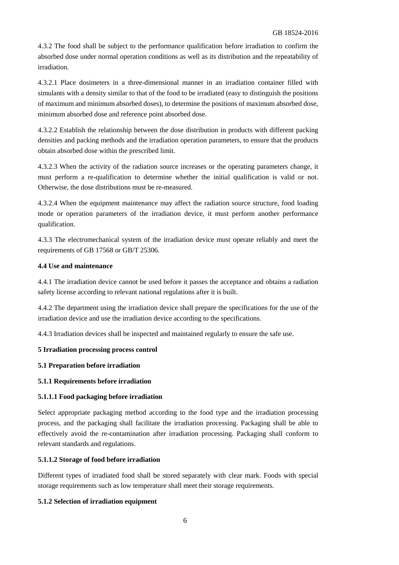4.3.2 The food shall be subject to the performance qualification before irradiation to confirm the absorbed dose under normal operation conditions as well as its distribution and the repeatability of irradiation.

4.3.2.1 Place dosimeters in a three-dimensional manner in an irradiation container filled with simulants with a density similar to that of the food to be irradiated (easy to distinguish the positions of maximum and minimum absorbed doses), to determine the positions of maximum absorbed dose, minimum absorbed dose and reference point absorbed dose.

4.3.2.2 Establish the relationship between the dose distribution in products with different packing densities and packing methods and the irradiation operation parameters, to ensure that the products obtain absorbed dose within the prescribed limit.

4.3.2.3 When the activity of the radiation source increases or the operating parameters change, it must perform a re-qualification to determine whether the initial qualification is valid or not. Otherwise, the dose distributions must be re-measured.

4.3.2.4 When the equipment maintenance may affect the radiation source structure, food loading mode or operation parameters of the irradiation device, it must perform another performance qualification.

4.3.3 The electromechanical system of the irradiation device must operate reliably and meet the requirements of GB 17568 or GB/T 25306.

#### **4.4 Use and maintenance**

 4.4.1 The irradiation device cannot be used before it passes the acceptance and obtains a radiation safety license according to relevant national regulations after it is built.

4.4.2 The department using the irradiation device shall prepare the specifications for the use of the irradiation device and use the irradiation device according to the specifications.

4.4.3 Irradiation devices shall be inspected and maintained regularly to ensure the safe use.

## **5 Irradiation processing process control**

## **5.1 Preparation before irradiation**

## **5.1.1 Requirements before irradiation**

## **5.1.1.1 Food packaging before irradiation**

 Select appropriate packaging method according to the food type and the irradiation processing effectively avoid the re-contamination after irradiation processing. Packaging shall conform to process, and the packaging shall facilitate the irradiation processing. Packaging shall be able to relevant standards and regulations.

## **5.1.1.2 Storage of food before irradiation**

Different types of irradiated food shall be stored separately with clear mark. Foods with special storage requirements such as low temperature shall meet their storage requirements.

## **5.1.2 Selection of irradiation equipment**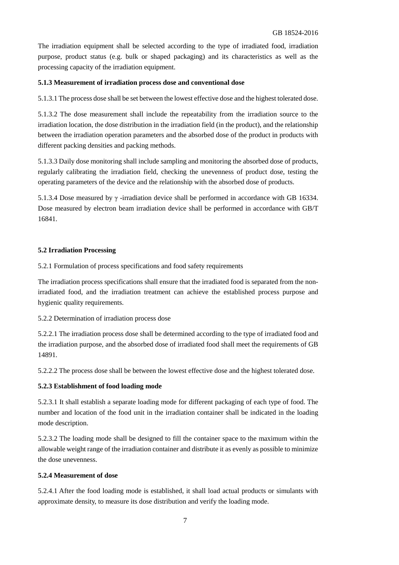purpose, product status (e.g. bulk or shaped packaging) and its characteristics as well as the The irradiation equipment shall be selected according to the type of irradiated food, irradiation processing capacity of the irradiation equipment.

#### **5.1.3 Measurement of irradiation process dose and conventional dose**

5.1.3.1 The process dose shall be set between the lowest effective dose and the highest tolerated dose.

5.1.3.2 The dose measurement shall include the repeatability from the irradiation source to the irradiation location, the dose distribution in the irradiation field (in the product), and the relationship between the irradiation operation parameters and the absorbed dose of the product in products with different packing densities and packing methods.

 regularly calibrating the irradiation field, checking the unevenness of product dose, testing the 5.1.3.3 Daily dose monitoring shall include sampling and monitoring the absorbed dose of products, operating parameters of the device and the relationship with the absorbed dose of products.

5.1.3.4 Dose measured by  $\gamma$  -irradiation device shall be performed in accordance with GB 16334. Dose measured by electron beam irradiation device shall be performed in accordance with GB/T 16841.

#### **5.2 Irradiation Processing**

5.2.1 Formulation of process specifications and food safety requirements

The irradiation process specifications shall ensure that the irradiated food is separated from the nonirradiated food, and the irradiation treatment can achieve the established process purpose and hygienic quality requirements.

5.2.2 Determination of irradiation process dose

5.2.2.1 The irradiation process dose shall be determined according to the type of irradiated food and the irradiation purpose, and the absorbed dose of irradiated food shall meet the requirements of GB 14891.

5.2.2.2 The process dose shall be between the lowest effective dose and the highest tolerated dose.

#### **5.2.3 Establishment of food loading mode**

 number and location of the food unit in the irradiation container shall be indicated in the loading 5.2.3.1 It shall establish a separate loading mode for different packaging of each type of food. The mode description.

 5.2.3.2 The loading mode shall be designed to fill the container space to the maximum within the allowable weight range of the irradiation container and distribute it as evenly as possible to minimize the dose unevenness.

#### **5.2.4 Measurement of dose**

 5.2.4.1 After the food loading mode is established, it shall load actual products or simulants with approximate density, to measure its dose distribution and verify the loading mode.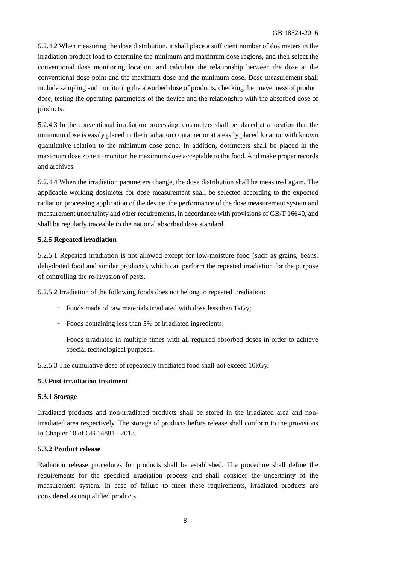## GB 18524-2016

 conventional dose point and the maximum dose and the minimum dose. Dose measurement shall include sampling and monitoring the absorbed dose of products, checking the unevenness of product dose, testing the operating parameters of the device and the relationship with the absorbed dose of 5.2.4.2 When measuring the dose distribution, it shall place a sufficient number of dosimeters in the irradiation product load to determine the minimum and maximum dose regions, and then select the conventional dose monitoring location, and calculate the relationship between the dose at the products.

5.2.4.3 In the conventional irradiation processing, dosimeters shall be placed at a location that the minimum dose is easily placed in the irradiation container or at a easily placed location with known quantitative relation to the minimum dose zone. In addition, dosimeters shall be placed in the maximum dose zone to monitor the maximum dose acceptable to the food. And make proper records and archives.

 shall be regularly traceable to the national absorbed dose standard. 5.2.4.4 When the irradiation parameters change, the dose distribution shall be measured again. The applicable working dosimeter for dose measurement shall be selected according to the expected radiation processing application of the device, the performance of the dose measurement system and measurement uncertainty and other requirements, in accordance with provisions of GB/T 16640, and

#### **5.2.5 Repeated irradiation**

5.2.5.1 Repeated irradiation is not allowed except for low-moisture food (such as grains, beans, dehydrated food and similar products), which can perform the repeated irradiation for the purpose of controlling the re-invasion of pests.

5.2.5.2 Irradiation of the following foods does not belong to repeated irradiation:

- Foods made of raw materials irradiated with dose less than 1kGy;
- Foods containing less than 5% of irradiated ingredients;
- Foods irradiated in multiple times with all required absorbed doses in order to achieve special technological purposes.

5.2.5.3 The cumulative dose of repeatedly irradiated food shall not exceed 10kGy.

#### **5.3 Post-irradiation treatment**

#### **5.3.1 Storage**

 Irradiated products and non-irradiated products shall be stored in the irradiated area and non- irradiated area respectively. The storage of products before release shall conform to the provisions in Chapter 10 of GB 14881 - 2013.

## **5.3.2 Product release**

 Radiation release procedures for products shall be established. The procedure shall define the requirements for the specified irradiation process and shall consider the uncertainty of the measurement system. In case of failure to meet these requirements, irradiated products are considered as unqualified products.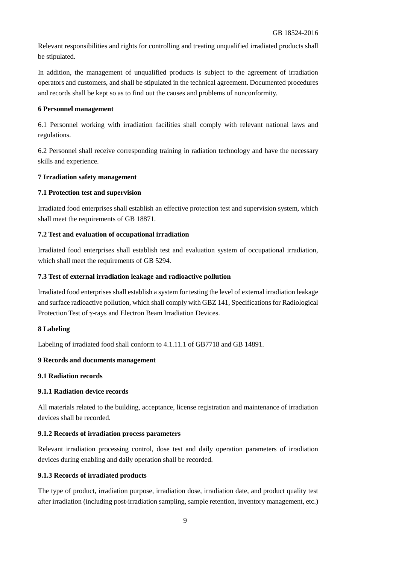Relevant responsibilities and rights for controlling and treating unqualified irradiated products shall be stipulated.

In addition, the management of unqualified products is subject to the agreement of irradiation operators and customers, and shall be stipulated in the technical agreement. Documented procedures and records shall be kept so as to find out the causes and problems of nonconformity.

#### **6 Personnel management**

 6.1 Personnel working with irradiation facilities shall comply with relevant national laws and regulations.

6.2 Personnel shall receive corresponding training in radiation technology and have the necessary skills and experience.

#### **7 Irradiation safety management**

#### **7.1 Protection test and supervision**

Irradiated food enterprises shall establish an effective protection test and supervision system, which shall meet the requirements of GB 18871.

## **7.2 Test and evaluation of occupational irradiation**

Irradiated food enterprises shall establish test and evaluation system of occupational irradiation, which shall meet the requirements of GB 5294.

#### **7.3 Test of external irradiation leakage and radioactive pollution**

 Irradiated food enterprises shall establish a system for testing the level of external irradiation leakage and surface radioactive pollution, which shall comply with GBZ 141, Specifications for Radiological Protection Test of γ-rays and Electron Beam Irradiation Devices.

#### **8 Labeling**

Labeling of irradiated food shall conform to 4.1.11.1 of GB7718 and GB 14891.

## **9 Records and documents management**

**9.1 Radiation records** 

## **9.1.1 Radiation device records**

All materials related to the building, acceptance, license registration and maintenance of irradiation devices shall be recorded.

## **9.1.2 Records of irradiation process parameters**

Relevant irradiation processing control, dose test and daily operation parameters of irradiation devices during enabling and daily operation shall be recorded.

## **9.1.3 Records of irradiated products**

 The type of product, irradiation purpose, irradiation dose, irradiation date, and product quality test after irradiation (including post-irradiation sampling, sample retention, inventory management, etc.)